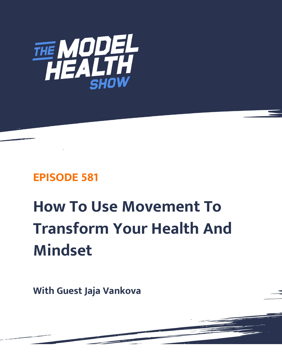

# **EPISODE 581**

# **How To Use Movement To Transform Your Health And Mindset**

**With Guest Jaja Vankova**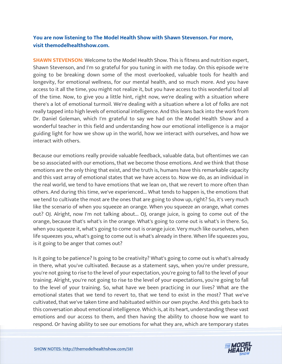# **You are now listening to The Model Health Show with Shawn Stevenson. For more, visit themodelhealthshow.com.**

**SHAWN STEVENSON:** Welcome to the Model Health Show. This is fitness and nutrition expert, Shawn Stevenson, and I'm so grateful for you tuning in with me today. On this episode we're going to be breaking down some of the most overlooked, valuable tools for health and longevity, for emotional wellness, for our mental health, and so much more. And you have access to it all the time, you might not realize it, but you have access to this wonderful tool all of the time. Now, to give you a little hint, right now, we're dealing with a situation where there's a lot of emotional turmoil. We're dealing with a situation where a lot of folks are not really tapped into high levels of emotional intelligence. And this leans back into the work from Dr. Daniel Goleman, which I'm grateful to say we had on the Model Health Show and a wonderful teacher in this field and understanding how our emotional intelligence is a major guiding light for how we show up in the world, how we interact with ourselves, and how we interact with others.

Because our emotions really provide valuable feedback, valuable data, but oftentimes we can be so associated with our emotions, that we become those emotions. And we think that those emotions are the only thing that exist, and the truth is, humans have this remarkable capacity and this vast array of emotional states that we have access to. Now we do, as an individual in the real world, we tend to have emotions that we lean on, that we revert to more often than others. And during this time, we've experienced... What tends to happen is, the emotions that we tend to cultivate the most are the ones that are going to show up, right? So, it's very much like the scenario of when you squeeze an orange. When you squeeze an orange, what comes out? OJ. Alright, now I'm not talking about... OJ, orange juice, is going to come out of the orange, because that's what's in the orange. What's going to come out is what's in there. So, when you squeeze it, what's going to come out is orange juice. Very much like ourselves, when life squeezes you, what's going to come out is what's already in there. When life squeezes you, is it going to be anger that comes out?

Is it going to be patience? Is going to be creativity? What's going to come out is what's already in there, what you've cultivated. Because as a statement says, when you're under pressure, you're not going to rise to the level of your expectation, you're going to fall to the level of your training. Alright, you're not going to rise to the level of your expectations, you're going to fall to the level of your training. So, what have we been practicing in our lives? What are the emotional states that we tend to revert to, that we tend to exist in the most? That we've cultivated, that we've taken time and habituated within our own psyche. And this gets back to this conversation about emotional intelligence. Which is, at its heart, understanding these vast emotions and our access to them, and then having the ability to choose how we want to [respond. Or having ability to see our emotions for what they are, which are temporary states](https://themodelhealthshow.com/jaja-vankova/)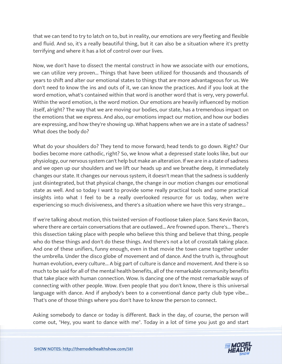that we can tend to try to latch on to, but in reality, our emotions are very fleeting and flexible and fluid. And so, it's a really beautiful thing, but it can also be a situation where it's pretty terrifying and where it has a lot of control over our lives.

Now, we don't have to dissect the mental construct in how we associate with our emotions, we can utilize very proven... Things that have been utilized for thousands and thousands of years to shift and alter our emotional states to things that are more advantageous for us. We don't need to know the ins and outs of it, we can know the practices. And if you look at the word emotion, what's contained within that word is another word that is very, very powerful. Within the word emotion, is the word motion. Our emotions are heavily influenced by motion itself, alright? The way that we are moving our bodies, our state, has a tremendous impact on the emotions that we express. And also, our emotions impact our motion, and how our bodies are expressing, and how they're showing up. What happens when we are in a state of sadness? What does the body do?

What do your shoulders do? They tend to move forward; head tends to go down. Right? Our bodies become more cathodic, right? So, we know what a depressed state looks like, but our physiology, our nervous system can't help but make an alteration. If we are in a state of sadness and we open up our shoulders and we lift our heads up and we breathe deep, it immediately changes our state. It changes our nervous system, it doesn't mean that the sadness is suddenly just disintegrated, but that physical change, the change in our motion changes our emotional state as well. And so today I want to provide some really practical tools and some practical insights into what I feel to be a really overlooked resource for us today, when we're experiencing so much divisiveness, and there's a situation where we have this very strange...

If we're talking about motion, this twisted version of Footloose taken place. Sans Kevin Bacon, where there are certain conversations that are outlawed... Are frowned upon. There's... There's this dissection taking place with people who believe this thing and believe that thing, people who do these things and don't do these things. And there's not a lot of crosstalk taking place. And one of these unifiers, funny enough, even in that movie the town came together under the umbrella. Under the disco globe of movement and of dance. And the truth is, throughout human evolution, every culture... A big part of culture is dance and movement. And there is so much to be said for all of the mental health benefits, all of the remarkable community benefits that take place with human connection. Wow. Is dancing one of the most remarkable ways of connecting with other people. Wow. Even people that you don't know, there is this universal language with dance. And if anybody's been to a conventional dance party club type vibe... That's one of those things where you don't have to know the person to connect.

Asking somebody to dance or today is different. Back in the day, of course, the person will [come out, "Hey, you want to dance with me". Today in a lot of time you just go and start](https://themodelhealthshow.com/jaja-vankova/) 

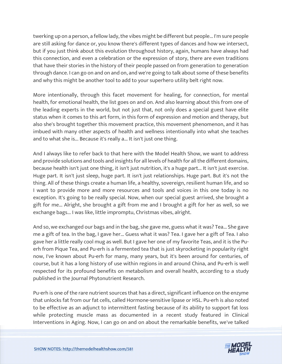twerking up on a person, a fellow lady, the vibes might be different but people... I'm sure people are still asking for dance or, you know there's different types of dances and how we intersect, but if you just think about this evolution throughout history, again, humans have always had this connection, and even a celebration or the expression of story, there are even traditions that have their stories in the history of their people passed on from generation to generation through dance. I can go on and on and on, and we're going to talk about some of these benefits and why this might be another tool to add to your superhero utility belt right now.

More intentionally, through this facet movement for healing, for connection, for mental health, for emotional health, the list goes on and on. And also learning about this from one of the leading experts in the world, but not just that, not only does a special guest have elite status when it comes to this art form, in this form of expression and motion and therapy, but also she's brought together this movement practice, this movement phenomenon, and it has imbued with many other aspects of health and wellness intentionally into what she teaches and to what she is... Because it's really a... It isn't just one thing.

And I always like to refer back to that here with the Model Health Show, we want to address and provide solutions and tools and insights for all levels of health for all the different domains, because health isn't just one thing, it isn't just nutrition, it's a huge part... It isn't just exercise. Huge part. It isn't just sleep, huge part. It isn't just relationships. Huge part. But it's not the thing. All of these things create a human life, a healthy, sovereign, resilient human life, and so I want to provide more and more resources and tools and voices in this one today is no exception. It's going to be really special. Now, when our special guest arrived, she brought a gift for me... Alright, she brought a gift from me and I brought a gift for her as well, so we exchange bags... I was like, little impromptu, Christmas vibes, alright.

And so, we exchanged our bags and in the bag, she gave me, guess what it was? Tea... She gave me a gift of tea. In the bag, I gave her... Guess what it was? Tea. I gave her a gift of Tea. I also gave her a little really cool mug as well. But I gave her one of my favorite Teas, and it is the Puerh from Pique Tea, and Pu-erh is a fermented tea that is just skyrocketing in popularity right now, I've known about Pu-erh for many, many years, but it's been around for centuries, of course, but it has a long history of use within regions in and around China, and Pu-erh is well respected for its profound benefits on metabolism and overall health, according to a study published in the Journal Phytonutrient Research.

Pu-erh is one of the rare nutrient sources that has a direct, significant influence on the enzyme that unlocks fat from our fat cells, called Hormone-sensitive lipase or HSL. Pu-erh is also noted to be effective as an adjunct to intermittent fasting because of its ability to support fat loss while protecting muscle mass as documented in a recent study featured in Clinical [Interventions in Aging. Now, I can go on and on about the remarkable benefits, we](https://themodelhealthshow.com/jaja-vankova/)'[ve talked](https://themodelhealthshow.com/jaja-vankova/)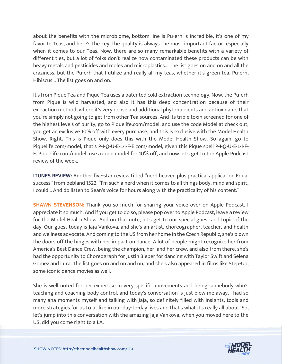about the benefits with the microbiome, bottom line is Pu-erh is incredible, it's one of my favorite Teas, and here's the key, the quality is always the most important factor, especially when it comes to our Teas. Now, there are so many remarkable benefits with a variety of different ties, but a lot of folks don't realize how contaminated these products can be with heavy metals and pesticides and moles and microplastics... The list goes on and on and all the craziness, but the Pu-erh that I utilize and really all my teas, whether it's green tea, Pu-erh, Hibiscus... The list goes on and on.

It's from Pique Tea and Pique Tea uses a patented cold extraction technology. Now, the Pu-erh from Pique is wild harvested, and also it has this deep concentration because of their extraction method, where it's very dense and additional phytonutrients and antioxidants that you're simply not going to get from other Tea sources. And its triple toxin screened for one of the highest levels of purity, go to Piquelife.com/model, and use the code Model at check out, you get an exclusive 10% off with every purchase, and this is exclusive with the Model Health Show. Right. This is Pique only does this with the Model Health Show. So again, go to Piquelife.com/model, that's P-I-Q-U-E-L-I-F-E.com/model, given this Pique spell P-I-Q-U-E-L-I-F-E. Piquelife.com/model, use a code model for 10% off, and now let's get to the Apple Podcast review of the week.

**ITUNES REVIEW:** Another five-star review titled "nerd heaven plus practical application Equal success" from bebland 1522. "I'm such a nerd when it comes to all things body, mind and spirit, I could... And do listen to Sean's voice for hours along with the practicality of his content."

**SHAWN STEVENSON:** Thank you so much for sharing your voice over on Apple Podcast, I appreciate it so much. And if you get to do so, please pop over to Apple Podcast, leave a review for the Model Health Show. And on that note, let's get to our special guest and topic of the day. Our guest today is Jaja Vankova, and she's an artist, choreographer, teacher, and health and wellness advocate. And coming to the US from her home in the Czech Republic, she's blown the doors off the hinges with her impact on dance. A lot of people might recognize her from America's Best Dance Crew, being the champion, her, and her crew, and also from there, she's had the opportunity to Choreograph for Justin Bieber for dancing with Taylor Swift and Selena Gomez and Lura. The list goes on and on and on, and she's also appeared in films like Step-Up, some iconic dance movies as well.

She is well noted for her expertise in very specific movements and being somebody who's teaching and coaching body control, and today's conversation is just blew me away, I had so many aha moments myself and talking with Jaja, so definitely filled with Insights, tools and more strategies for us to utilize in our day-to-day lives and that's what it's really all about. So, let's jump into this conversation with the amazing Jaja Vankova, when you moved here to the [US, did you come right to a LA.](https://themodelhealthshow.com/jaja-vankova/)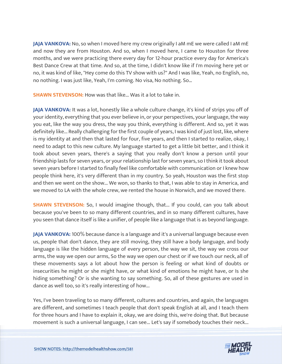**JAJA VANKOVA:** No, so when I moved here my crew originally I aM mE we were called I aM mE and now they are from Houston. And so, when I moved here, I came to Houston for three months, and we were practicing there every day for 12-hour practice every day for America's Best Dance Crew at that time. And so, at the time, I didn't know like if I'm moving here yet or no, it was kind of like, "Hey come do this TV show with us?" And I was like, Yeah, no English, no, no nothing. I was just like, Yeah, I'm coming. No visa, No nothing. So…

**SHAWN STEVENSON:** How was that like... Was it a lot to take in.

**JAJA VANKOVA:** It was a lot, honestly like a whole culture change, it's kind of strips you off of your identity, everything that you ever believe in, or your perspectives, your language, the way you eat, like the way you dress, the way you think, everything is different. And so, yet it was definitely like... Really challenging for the first couple of years, I was kind of just lost, like, where is my identity at and then that lasted for four, five years, and then I started to realize, okay, I need to adapt to this new culture. My language started to get a little bit better, and I think it took about seven years, there's a saying that you really don't know a person until your friendship lasts for seven years, or your relationship last for seven years, so I think it took about seven years before I started to finally feel like comfortable with communication or I knew how people think here, it's very different than in my country. So yeah, Houston was the first stop and then we went on the show... We won, so thanks to that, I was able to stay in America, and we moved to LA with the whole crew, we rented the house in Norwich, and we moved there.

**SHAWN STEVENSON:** So, I would imagine though, that... If you could, can you talk about because you've been to so many different countries, and in so many different cultures, have you seen that dance itself is like a unifier, of people like a language that is as beyond language.

**JAJA VANKOVA:** 100% because dance is a language and it's a universal language because even us, people that don't dance, they are still moving, they still have a body language, and body language is like the hidden language of every person, the way we sit, the way we cross our arms, the way we open our arms, So the way we open our chest or if we touch our neck, all of these movements says a lot about how the person is feeling or what kind of doubts or insecurities he might or she might have, or what kind of emotions he might have, or Is she hiding something? Or is she wanting to say something. So, all of these gestures are used in dance as well too, so it's really interesting of how...

Yes, I've been traveling to so many different, cultures and countries, and again, the languages are different, and sometimes I teach people that don't speak English at all, and I teach them for three hours and I have to explain it, okay, we are doing this, we're doing that. But because [movement is such a universal language, I can see... Let](https://themodelhealthshow.com/jaja-vankova/)'[s say if somebody touches their neck...](https://themodelhealthshow.com/jaja-vankova/) 

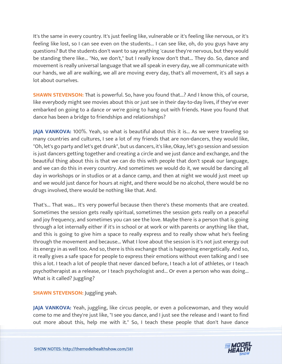It's the same in every country. It's just feeling like, vulnerable or it's feeling like nervous, or it's feeling like lost, so I can see even on the students... I can see like, oh, do you guys have any questions? But the students don't want to say anything 'cause they're nervous, but they would be standing there like... "No, we don't," but I really know don't that... They do. So, dance and movement is really universal language that we all speak in every day, we all communicate with our hands, we all are walking, we all are moving every day, that's all movement, it's all says a lot about ourselves.

**SHAWN STEVENSON:** That is powerful. So, have you found that...? And I know this, of course, like everybody might see movies about this or just see in their day-to-day lives, if they've ever embarked on going to a dance or we're going to hang out with friends. Have you found that dance has been a bridge to friendships and relationships?

**JAJA VANKOVA:** 100%. Yeah, so what is beautiful about this it is... As we were traveling so many countries and cultures, I see a lot of my friends that are non-dancers, they would like, "Oh, let's go party and let's get drunk", but us dancers, it's like, Okay, let's go session and session is just dancers getting together and creating a circle and we just dance and exchange, and the beautiful thing about this is that we can do this with people that don't speak our language, and we can do this in every country. And sometimes we would do it, we would be dancing all day in workshops or in studios or at a dance camp, and then at night we would just meet up and we would just dance for hours at night, and there would be no alcohol, there would be no drugs involved, there would be nothing like that. And.

That's... That was... It's very powerful because then there's these moments that are created. Sometimes the session gets really spiritual, sometimes the session gets really on a peaceful and joy frequency, and sometimes you can see the love. Maybe there is a person that is going through a lot internally either if it's in school or at work or with parents or anything like that, and this is going to give him a space to really express and to really show what he's feeling through the movement and because... What I love about the session is it's not just energy out its energy in as well too. And so, there is this exchange that is happening energetically. And so, it really gives a safe space for people to express their emotions without even talking and I see this a lot. I teach a lot of people that never danced before, I teach a lot of athletes, or I teach psychotherapist as a release, or I teach psychologist and... Or even a person who was doing... What is it called? Juggling?

**SHAWN STEVENSON: Juggling yeah.** 

**JAJA VANKOVA:** Yeah, juggling, like circus people, or even a policewoman, and they would come to me and they're just like, "I see you dance, and I just see the release and I want to find [out more about this, help me with it." So, I teach these people that don](https://themodelhealthshow.com/jaja-vankova/)'[t have dance](https://themodelhealthshow.com/jaja-vankova/)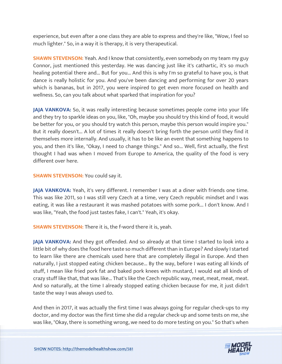experience, but even after a one class they are able to express and they're like, "Wow, I feel so much lighter." So, in a way it is therapy, it is very therapeutical.

**SHAWN STEVENSON:** Yeah. And I know that consistently, even somebody on my team my guy Connor, just mentioned this yesterday. He was dancing just like it's cathartic, it's so much healing potential there and... But for you... And this is why I'm so grateful to have you, is that dance is really holistic for you. And you've been dancing and performing for over 20 years which is bananas, but in 2017, you were inspired to get even more focused on health and wellness. So, can you talk about what sparked that inspiration for you?

**JAJA VANKOVA:** So, it was really interesting because sometimes people come into your life and they try to sparkle ideas on you, like, "Oh, maybe you should try this kind of food, it would be better for you, or you should try watch this person, maybe this person would inspire you." But it really doesn't... A lot of times it really doesn't bring forth the person until they find it themselves more internally. And usually, it has to be like an event that something happens to you, and then it's like, "Okay, I need to change things." And so... Well, first actually, the first thought I had was when I moved from Europe to America, the quality of the food is very different over here.

## **SHAWN STEVENSON:** You could say it.

**JAJA VANKOVA:** Yeah, it's very different. I remember I was at a diner with friends one time. This was like 2011, so I was still very Czech at a time, very Czech republic mindset and I was eating, it was like a restaurant it was mashed potatoes with some pork... I don't know. And I was like, "Yeah, the food just tastes fake, I can't." Yeah, it's okay.

**SHAWN STEVENSON:** There it is, the f-word there it is, yeah.

**JAJA VANKOVA:** And they got offended. And so already at that time I started to look into a little bit of why does the food here taste so much different than in Europe? And slowly I started to learn like there are chemicals used here that are completely illegal in Europe. And then naturally, I just stopped eating chicken because... By the way, before I was eating all kinds of stuff, I mean like fried pork fat and baked pork knees with mustard, I would eat all kinds of crazy stuff like that, that was like... That's like the Czech republic way, meat, meat, meat, meat. And so naturally, at the time I already stopped eating chicken because for me, it just didn't taste the way I was always used to.

And then in 2017, it was actually the first time I was always going for regular check-ups to my doctor, and my doctor was the first time she did a regular check-up and some tests on me, she [was like, "Okay, there is something wrong, we need to do more testing on you." So that](https://themodelhealthshow.com/jaja-vankova/)'[s when](https://themodelhealthshow.com/jaja-vankova/) 

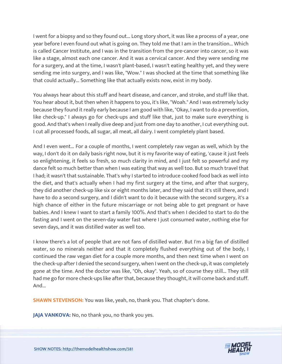I went for a biopsy and so they found out... Long story short, it was like a process of a year, one year before I even found out what is going on. They told me that I am in the transition... Which is called Cancer Institute, and I was in the transition from the pre-cancer into cancer, so it was like a stage, almost each one cancer. And it was a cervical cancer. And they were sending me for a surgery, and at the time, I wasn't plant-based, I wasn't eating healthy yet, and they were sending me into surgery, and I was like, "Wow." I was shocked at the time that something like that could actually... Something like that actually exists now, exist in my body.

You always hear about this stuff and heart disease, and cancer, and stroke, and stuff like that. You hear about it, but then when it happens to you, it's like, "Woah." And I was extremely lucky because they found it really early because I am good with like, "Okay, I want to do a prevention, like check-up." I always go for check-ups and stuff like that, just to make sure everything is good. And that's when I really dive deep and just from one day to another, I cut everything out. I cut all processed foods, all sugar, all meat, all dairy. I went completely plant based.

And I even went... For a couple of months, I went completely raw vegan as well, which by the way, I don't do it on daily basis right now, but it is my favorite way of eating, 'cause it just feels so enlightening, it feels so fresh, so much clarity in mind, and I just felt so powerful and my dance felt so much better than when I was eating that way as well too. But so much travel that I had; it wasn't that sustainable. That's why I started to introduce cooked food back as well into the diet, and that's actually when I had my first surgery at the time, and after that surgery, they did another check-up like six or eight months later, and they said that it's still there, and I have to do a second surgery, and I didn't want to do it because with the second surgery, it's a high chance of either in the future miscarriage or not being able to get pregnant or have babies. And I knew I want to start a family 100%. And that's when I decided to start to do the fasting and I went on the seven-day water fast where I just consumed water, nothing else for seven days, and it was distilled water as well too.

I know there's a lot of people that are not fans of distilled water. But I'm a big fan of distilled water, so no minerals neither and that it completely flushed everything out of the body, I continued the raw vegan diet for a couple more months, and then next time when I went on the check-up after I denied the second surgery, when I went on the check-up, it was completely gone at the time. And the doctor was like, "Oh, okay". Yeah, so of course they still... They still had me go for more check-ups like after that, because they thought, it will come back and stuff. And...

**SHAWN STEVENSON:** You was like, yeah, no, thank you. That chapter's done.

**JAJA VANKOVA:** No, no thank you, no thank you yes.

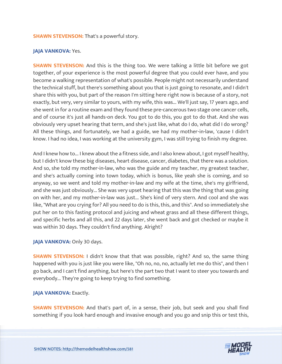#### **SHAWN STEVENSON:** That's a powerful story.

#### **JAJA VANKOVA: Yes.**

**SHAWN STEVENSON:** And this is the thing too. We were talking a little bit before we got together, of your experience is the most powerful degree that you could ever have, and you become a walking representation of what's possible. People might not necessarily understand the technical stuff, but there's something about you that is just going to resonate, and I didn't share this with you, but part of the reason I'm sitting here right now is because of a story, not exactly, but very, very similar to yours, with my wife, this was... We'll just say, 17 years ago, and she went in for a routine exam and they found these pre-cancerous two stage one cancer cells, and of course it's just all hands-on deck. You got to do this, you got to do that. And she was obviously very upset hearing that term, and she's just like, what do I do, what did I do wrong? All these things, and fortunately, we had a guide, we had my mother-in-law, 'cause I didn't know. I had no idea, I was working at the university gym, I was still trying to finish my degree.

And I knew how to... I knew about the a fitness side, and I also knew about, I got myself healthy, but I didn't know these big diseases, heart disease, cancer, diabetes, that there was a solution. And so, she told my mother-in-law, who was the guide and my teacher, my greatest teacher, and she's actually coming into town today, which is bonus, like yeah she is coming, and so anyway, so we went and told my mother-in-law and my wife at the time, she's my girlfriend, and she was just obviously... She was very upset hearing that this was the thing that was going on with her, and my mother-in-law was just... She's kind of very stern. And cool and she was like, "What are you crying for? All you need to do is this, this, and this". And so immediately she put her on to this fasting protocol and juicing and wheat grass and all these different things, and specific herbs and all this, and 22 days later, she went back and got checked or maybe it was within 30 days. They couldn't find anything. Alright?

#### JAJA VANKOVA: Only 30 days.

**SHAWN STEVENSON:** I didn't know that that was possible, right? And so, the same thing happened with you is just like you were like, "Oh no, no, no, actually let me do this", and then I go back, and I can't find anything, but here's the part two that I want to steer you towards and everybody... They're going to keep trying to find something.

#### **JAJA VANKOVA: Exactly.**

**SHAWN STEVENSON:** And that's part of, in a sense, their job, but seek and you shall find something if you look hard enough and invasive enough and you go and snip this or test this,

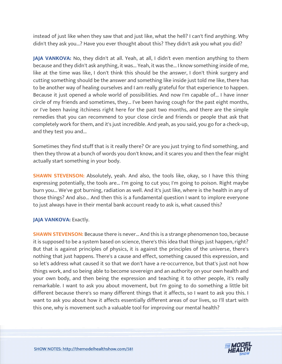instead of just like when they saw that and just like, what the hell? I can't find anything. Why didn't they ask you...? Have you ever thought about this? They didn't ask you what you did?

**JAJA VANKOVA:** No, they didn't at all. Yeah, at all, I didn't even mention anything to them because and they didn't ask anything, it was... Yeah, it was the... I know something inside of me, like at the time was like, I don't think this should be the answer, I don't think surgery and cutting something should be the answer and something like inside just told me like, there has to be another way of healing ourselves and I am really grateful for that experience to happen. Because it just opened a whole world of possibilities. And now I'm capable of... I have inner circle of my friends and sometimes, they... I've been having cough for the past eight months, or I've been having itchiness right here for the past two months, and there are the simple remedies that you can recommend to your close circle and friends or people that ask that completely work for them, and it's just incredible. And yeah, as you said, you go for a check-up, and they test you and...

Sometimes they find stuff that is it really there? Or are you just trying to find something, and then they throw at a bunch of words you don't know, and it scares you and then the fear might actually start something in your body.

**SHAWN STEVENSON:** Absolutely, yeah. And also, the tools like, okay, so I have this thing expressing potentially, the tools are... I'm going to cut you; I'm going to poison. Right maybe burn you... We've got burning, radiation as well. And it's just like, where is the health in any of those things? And also... And then this is a fundamental question I want to implore everyone to just always have in their mental bank account ready to ask is, what caused this?

# **JAJA VANKOVA: Exactly.**

**SHAWN STEVENSON:** Because there is never... And this is a strange phenomenon too, because it is supposed to be a system based on science, there's this idea that things just happen, right? But that is against principles of physics, it is against the principles of the universe, there's nothing that just happens. There's a cause and effect, something caused this expression, and so let's address what caused it so that we don't have a re-occurrence, but that's just not how things work, and so being able to become sovereign and an authority on your own health and your own body, and then being the expression and teaching it to other people, it's really remarkable. I want to ask you about movement, but I'm going to do something a little bit different because there's so many different things that it affects, so I want to ask you this. I want to ask you about how it affects essentially different areas of our lives, so I'll start with this one, why is movement such a valuable tool for improving our mental health?

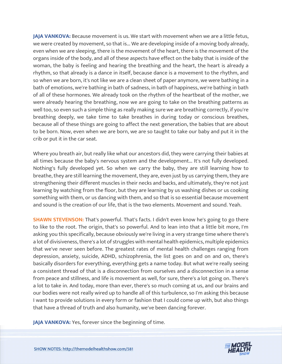**JAJA VANKOVA:** Because movement is us. We start with movement when we are a little fetus, we were created by movement, so that is... We are developing inside of a moving body already, even when we are sleeping, there is the movement of the heart, there is the movement of the organs inside of the body, and all of these aspects have effect on the baby that is inside of the woman, the baby is feeling and hearing the breathing and the heart, the heart is already a rhythm, so that already is a dance in itself, because dance is a movement to the rhythm, and so when we are born, it's not like we are a clean sheet of paper anymore, we were bathing in a bath of emotions, we're bathing in bath of sadness, in bath of happiness, we're bathing in bath of all of these hormones. We already took on the rhythm of the heartbeat of the mother, we were already hearing the breathing, now we are going to take on the breathing patterns as well too, so even such a simple thing as really making sure we are breathing correctly, if you're breathing deeply, we take time to take breathes in during today or conscious breathes, because all of these things are going to affect the next generation, the babies that are about to be born. Now, even when we are born, we are so taught to take our baby and put it in the crib or put it in the car seat.

Where you breath air, but really like what our ancestors did, they were carrying their babies at all times because the baby's nervous system and the development... It's not fully developed. Nothing's fully developed yet. So when we carry the baby, they are still learning how to breathe, they are still learning the movement, they are, even just by us carrying them, they are strengthening their different muscles in their necks and backs, and ultimately, they're not just learning by watching from the floor, but they are learning by us washing dishes or us cooking something with them, or us dancing with them, and so that is so essential because movement and sound is the creation of our life, that is the two elements. Movement and sound. Yeah.

**SHAWN STEVENSON:** That's powerful. That's facts. I didn't even know he's going to go there to like to the root. The origin, that's so powerful. And to lean into that a little bit more, I'm asking you this specifically, because obviously we're living in a very strange time where there's a lot of divisiveness, there's a lot of struggles with mental health epidemics, multiple epidemics that we've never seen before. The greatest rates of mental health challenges ranging from depression, anxiety, suicide, ADHD, schizophrenia, the list goes on and on and on, there's basically disorders for everything, everything gets a name today. But what we're really seeing a consistent thread of that is a disconnection from ourselves and a disconnection in a sense from peace and stillness, and life is movement as well, for sure, there's a lot going on. There's a lot to take in. And today, more than ever, there's so much coming at us, and our brains and our bodies were not really wired up to handle all of this turbulence, so I'm asking this because I want to provide solutions in every form or fashion that I could come up with, but also things that have a thread of truth and also humanity, we've been dancing forever.

**JAJA VANKOVA:** [Yes, forever since the beginning of time.](https://themodelhealthshow.com/jaja-vankova/)

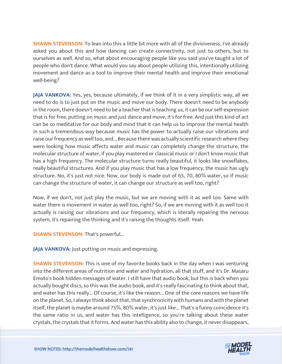**SHAWN STEVENSON:** To lean into this a little bit more with all of the divisiveness, I've already asked you about this and how dancing can create connectivity, not just to others, but to ourselves as well. And so, what about encouraging people like you said you've taught a lot of people who don't dance. What would you say about people utilizing this, intentionally utilizing movement and dance as a tool to improve their mental health and improve their emotional well-being?

**JAJA VANKOVA:** Yes, yes, because ultimately, if we think of it in a very simplistic way, all we need to do is to just put on the music and move our body. There doesn't need to be anybody in the room, there doesn't need to be a teacher that is teaching us, it can be our self-expression that is for free, putting on music and just dance and move, it's for free. And just this kind of act can be so meditative for our body and mind that it can help us to improve the mental health in such a tremendous way because music has the power to actually raise our vibrations and raise our frequency as well too, and... Because there was actually scientific research where they were looking how music affects water and music can completely change the structure, the molecular structure of water, if you play mastered or classical music or I don't know music that has a high frequency. The molecular structure turns really beautiful, it looks like snowflakes, really beautiful structures. And if you play music that has a low frequency, the music has ugly structure. No, it's just not nice. Now, our body is made out of 65, 70, 80% water, so if music can change the structure of water, it can change our structure as well too, right?

Now, if we don't, not just play the music, but we are moving with it as well too. Same with water there is movement in water as well too, right? So, if we are moving with it as well too it actually is raising our vibrations and our frequency, which is literally repairing the nervous system, it's repairing the thinking and it's raising the thoughts itself. Yeah.

**SHAWN STEVENSON: That's powerful...** 

JAJA VANKOVA: Just putting on music and expressing.

**SHAWN STEVENSON:** This is one of my favorite books back in the day when I was venturing into the different areas of nutrition and water and hydration, all that stuff, and it's Dr. Masaru Emoto's book hidden messages of water. I still have that audio book, but this is back when you actually bought discs, so this was the audio book, and it's really fascinating to think about that, and water has this really... Of course, it's like the reason... One of the core reasons we have life on the planet. So, I always think about that, that synchronicity with humans and with the planet itself, the planet is maybe around 75%, 80% water, it's just like... That's a funny coincidence it's the same ratio in us, and water has this intelligence, so you're talking about these water [crystals, the crystals that it forms. And water has this ability also to change, it never disappears,](https://themodelhealthshow.com/jaja-vankova/) 

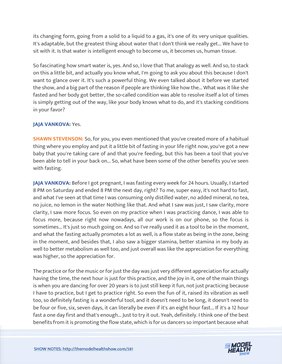its changing form, going from a solid to a liquid to a gas, it's one of its very unique qualities. It's adaptable, but the greatest thing about water that I don't think we really get... We have to sit with it. Is that water is intelligent enough to become us, it becomes us, human tissue.

So fascinating how smart water is, yes. And so, I love that That analogy as well. And so, to stack on this a little bit, and actually you know what, I'm going to ask you about this because I don't want to glance over it. It's such a powerful thing. We even talked about it before we started the show, and a big part of the reason if people are thinking like how the... What was it like she fasted and her body got better, the so-called condition was able to resolve itself a lot of times is simply getting out of the way, like your body knows what to do, and it's stacking conditions in your favor?

## **JAJA VANKOVA: Yes.**

**SHAWN STEVENSON:** So, for you, you even mentioned that you've created more of a habitual thing where you employ and put it a little bit of fasting in your life right now, you've got a new baby that you're taking care of and that you're feeding, but this has been a tool that you've been able to tell in your back on... So, what have been some of the other benefits you've seen with fasting.

**JAJA VANKOVA:** Before I got pregnant, I was fasting every week for 24 hours. Usually, I started 8 PM on Saturday and ended 8 PM the next day, right? To me, super easy, it's not hard to fast, and what I've seen at that time I was consuming only distilled water, no added mineral, no tea, no juice, no lemon in the water Nothing like that. And what I saw was just, I saw clarity, more clarity, I saw more focus. So even on my practice when I was practicing dance, I was able to focus more, because right now nowadays, all our work is on our phone, so the focus is sometimes... It's just so much going on. And so I've really used it as a tool to be in the moment, and what the fasting actually promotes a lot as well, is a flow state as being in the zone, being in the moment, and besides that, I also saw a bigger stamina, better stamina in my body as well to better metabolism as well too, and just overall was like the appreciation for everything was higher, so the appreciation for.

The practice or for the music or for just the day was just very different appreciation for actually having the time, the next hour is just for this practice, and the joy in it, one of the main things is when you are dancing for over 20 years is to just still keep it fun, not just practicing because I have to practice, but I get to practice right. So even the fun of it, raised its vibration as well too, so definitely fasting is a wonderful tool, and it doesn't need to be long, it doesn't need to be four or five, six, seven days, it can literally be even if it's an eight hour fast... If it's a 12 hour fast a one day first and that's enough... Just to try it out. Yeah, definitely. I think one of the best [benefits from it is promoting the flow state, which is for us dancers so important because what](https://themodelhealthshow.com/jaja-vankova/)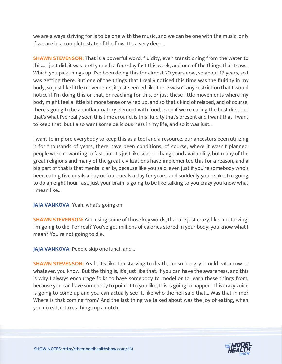we are always striving for is to be one with the music, and we can be one with the music, only if we are in a complete state of the flow. It's a very deep...

**SHAWN STEVENSON:** That is a powerful word, fluidity, even transitioning from the water to this... I just did, it was pretty much a four-day fast this week, and one of the things that I saw... Which you pick things up, I've been doing this for almost 20 years now, so about 17 years, so I was getting there. But one of the things that I really noticed this time was the fluidity in my body, so just like little movements, it just seemed like there wasn't any restriction that I would notice if I'm doing this or that, or reaching for this, or just these little movements where my body might feel a little bit more tense or wired up, and so that's kind of relaxed, and of course, there's going to be an inflammatory element with food, even if we're eating the best diet, but that's what I've really seen this time around, is this fluidity that's present and I want that, I want to keep that, but I also want some delicious-ness in my life, and so it was just...

I want to implore everybody to keep this as a tool and a resource, our ancestors been utilizing it for thousands of years, there have been conditions, of course, where it wasn't planned, people weren't wanting to fast, but it's just like season change and availability, but many of the great religions and many of the great civilizations have implemented this for a reason, and a big part of that is that mental clarity, because like you said, even just if you're somebody who's been eating five meals a day or four meals a day for years, and suddenly you're like, I'm going to do an eight-hour fast, just your brain is going to be like talking to you crazy you know what I mean like...

# JAJA VANKOVA: Yeah, what's going on.

**SHAWN STEVENSON:** And using some of those key words, that are just crazy, like I'm starving, I'm going to die. For real? You've got millions of calories stored in your body; you know what I mean? You're not going to die.

**JAJA VANKOVA: People skip one lunch and...** 

**SHAWN STEVENSON:** Yeah, it's like, I'm starving to death, I'm so hungry I could eat a cow or whatever, you know. But the thing is, it's just like that. If you can have the awareness, and this is why I always encourage folks to have somebody to model or to learn these things from, because you can have somebody to point it to you like, this is going to happen. This crazy voice is going to come up and you can actually see it, like who the hell said that... Was that in me? Where is that coming from? And the last thing we talked about was the joy of eating, when you do eat, it takes things up a notch.

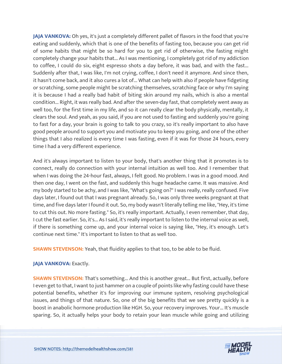**JAJA VANKOVA:** Oh yes, it's just a completely different pallet of flavors in the food that you're eating and suddenly, which that is one of the benefits of fasting too, because you can get rid of some habits that might be so hard for you to get rid of otherwise, the fasting might completely change your habits that... As I was mentioning, I completely got rid of my addiction to coffee, I could do six, eight espresso shots a day before, it was bad, and with the fast... Suddenly after that, I was like, I'm not crying, coffee, I don't need it anymore. And since then, it hasn't come back, and it also cures a lot of... What can help with also if people have fidgeting or scratching, some people might be scratching themselves, scratching face or why I'm saying it is because I had a really bad habit of biting skin around my nails, which is also a mental condition... Right, it was really bad. And after the seven-day fast, that completely went away as well too, for the first time in my life, and so it can really clear the body physically, mentally, it clears the soul. And yeah, as you said, if you are not used to fasting and suddenly you're going to fast for a day, your brain is going to talk to you crazy, so it's really important to also have good people around to support you and motivate you to keep you going, and one of the other things that I also realized is every time I was fasting, even if it was for those 24 hours, every time I had a very different experience.

And it's always important to listen to your body, that's another thing that it promotes is to connect, really do connection with your internal intuition as well too. And I remember that when I was doing the 24-hour fast, always, I felt good. No problem. I was in a good mood. And then one day, I went on the fast, and suddenly this huge headache came. It was massive. And my body started to be achy, and I was like, "What's going on?" I was really, really confused. Five days later, I found out that I was pregnant already. So, I was only three weeks pregnant at that time, and five days later I found it out. So, my body wasn't literally telling me like, "Hey, it's time to cut this out. No more fasting." So, it's really important. Actually, I even remember, that day, I cut the fast earlier. So, it's... As I said, it's really important to listen to the internal voice as well, if there is something come up, and your internal voice is saying like, "Hey, it's enough. Let's continue next time." It's important to listen to that as well too.

**SHAWN STEVENSON:** Yeah, that fluidity applies to that too, to be able to be fluid.

# **JAJA VANKOVA: Exactly.**

**SHAWN STEVENSON:** That's something... And this is another great... But first, actually, before I even get to that, I want to just hammer on a couple of points like why fasting could have these potential benefits, whether it's for improving our immune system, resolving psychological issues, and things of that nature. So, one of the big benefits that we see pretty quickly is a boost in anabolic hormone production like HGH. So, your recovery improves. Your... It's muscle sparing. So, it actually helps your body to retain your lean muscle while going and utilizing

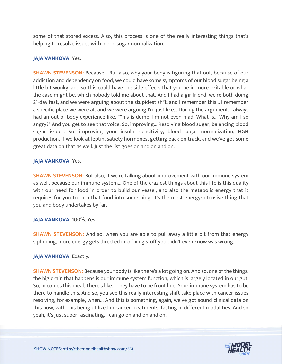some of that stored excess. Also, this process is one of the really interesting things that's helping to resolve issues with blood sugar normalization.

# **JAJA VANKOVA: Yes.**

**SHAWN STEVENSON:** Because... But also, why your body is figuring that out, because of our addiction and dependency on food, we could have some symptoms of our blood sugar being a little bit wonky, and so this could have the side effects that you be in more irritable or what the case might be, which nobody told me about that. And I had a girlfriend, we're both doing 21-day fast, and we were arguing about the stupidest sh\*t, and I remember this... I remember a specific place we were at, and we were arguing I'm just like... During the argument, I always had an out-of-body experience like, "This is dumb. I'm not even mad. What is... Why am I so angry?" And you get to see that voice. So, improving... Resolving blood sugar, balancing blood sugar issues. So, improving your insulin sensitivity, blood sugar normalization, HGH production. If we look at leptin, satiety hormones, getting back on track, and we've got some great data on that as well. Just the list goes on and on and on.

# **JAJA VANKOVA:** Yes.

**SHAWN STEVENSON:** But also, if we're talking about improvement with our immune system as well, because our immune system... One of the craziest things about this life is this duality with our need for food in order to build our vessel, and also the metabolic energy that it requires for you to turn that food into something. It's the most energy-intensive thing that you and body undertakes by far.

# **JAJA VANKOVA:** 100%. Yes.

**SHAWN STEVENSON:** And so, when you are able to pull away a little bit from that energy siphoning, more energy gets directed into fixing stuff you didn't even know was wrong.

# **JAJA VANKOVA: Exactly.**

**SHAWN STEVENSON:** Because your body is like there's a lot going on. And so, one of the things, the big drain that happens is our immune system function, which is largely located in our gut. So, in comes this meal. There's like... They have to be front line. Your immune system has to be there to handle this. And so, you see this really interesting shift take place with cancer issues resolving, for example, when... And this is something, again, we've got sound clinical data on this now, with this being utilized in cancer treatments, fasting in different modalities. And so yeah, it's just super fascinating. I can go on and on and on.

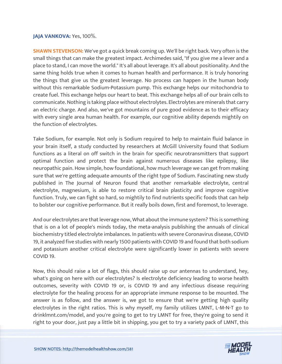#### **JAJA VANKOVA:** Yes, 100%.

**SHAWN STEVENSON:** We've got a quick break coming up. We'll be right back. Very often is the small things that can make the greatest impact. Archimedes said, "If you give me a lever and a place to stand, I can move the world." It's all about leverage. It's all about positionality. And the same thing holds true when it comes to human health and performance. It is truly honoring the things that give us the greatest leverage. No process can happen in the human body without this remarkable Sodium-Potassium pump. This exchange helps our mitochondria to create fuel. This exchange helps our heart to beat. This exchange helps all of our brain cells to communicate. Nothing is taking place without electrolytes. Electrolytes are minerals that carry an electric charge. And also, we've got mountains of pure good evidence as to their efficacy with every single area human health. For example, our cognitive ability depends mightily on the function of electrolytes.

Take Sodium, for example. Not only is Sodium required to help to maintain fluid balance in your brain itself, a study conducted by researchers at McGill University found that Sodium functions as a literal on off switch in the brain for specific neurotransmitters that support optimal function and protect the brain against numerous diseases like epilepsy, like neuropathic pain. How simple, how foundational, how much leverage we can get from making sure that we're getting adequate amounts of the right type of Sodium. Fascinating new study published in The Journal of Neuron found that another remarkable electrolyte, central electrolyte, magnesium, is able to restore critical brain plasticity and improve cognitive function. Truly, we can fight so hard, so mightily to find nutrients specific foods that can help to bolster our cognitive performance. But it really boils down, first and foremost, to leverage.

And our electrolytes are that leverage now, What about the immune system? This is something that is on a lot of people's minds today, the meta-analysis publishing the annuals of clinical biochemistry titled electrolyte imbalances. In patients with severe Coronavirus disease, COVID 19, it analyzed five studies with nearly 1500 patients with COVID 19 and found that both sodium and potassium another critical electrolyte were significantly lower in patients with severe COVID 19.

Now, this should raise a lot of flags, this should raise up our antennas to understand, hey, what's going on here with our electrolytes? Is electrolyte deficiency leading to worse health outcomes, severity with COVID 19 or, is COVID 19 and any infectious disease requiring electrolyte for the healing process for an appropriate immune response to be mounted. The answer is as follow, and the answer is, we got to ensure that we're getting high quality electrolytes in the right ratios. This is why myself, my family utilizes LMNT, L-M-N-T go to drinklmnt.com/model, and you're going to get to try LMNT for free, they're going to send it [right to your door, just pay a little bit in shipping, you get to try a variety pack of LMNT, this](https://themodelhealthshow.com/jaja-vankova/)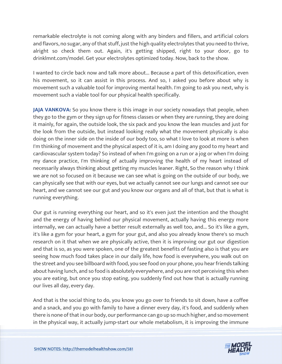remarkable electrolyte is not coming along with any binders and fillers, and artificial colors and flavors, no sugar, any of that stuff, just the high quality electrolytes that you need to thrive, alright so check them out. Again, it's getting shipped, right to your door, go to drinklmnt.com/model. Get your electrolytes optimized today. Now, back to the show.

I wanted to circle back now and talk more about... Because a part of this detoxification, even his movement, so it can assist in this process. And so, I asked you before about why is movement such a valuable tool for improving mental health. I'm going to ask you next, why is movement such a viable tool for our physical health specifically.

**JAJA VANKOVA:** So you know there is this image in our society nowadays that people, when they go to the gym or they sign up for fitness classes or when they are running, they are doing it mainly, for again, the outside look, the six pack and you know the lean muscles and just for the look from the outside, but instead looking really what the movement physically is also doing on the inner side on the inside of our body too, so what I love to look at more is when I'm thinking of movement and the physical aspect of it is, am I doing any good to my heart and cardiovascular system today? So instead of when I'm going on a run or a jog or when I'm doing my dance practice, I'm thinking of actually improving the health of my heart instead of necessarily always thinking about getting my muscles leaner. Right, So the reason why I think we are not so focused on it because we can see what is going on the outside of our body, we can physically see that with our eyes, but we actually cannot see our lungs and cannot see our heart, and we cannot see our gut and you know our organs and all of that, but that is what is running everything.

Our gut is running everything our heart, and so it's even just the intention and the thought and the energy of having behind our physical movement, actually having this energy more internally, we can actually have a better result externally as well too, and... So it's like a gym, it's like a gym for your heart, a gym for your gut, and also you already know there's so much research on it that when we are physically active, then it is improving our gut our digestion and that is so, as you were spoken, one of the greatest benefits of fasting also is that you are seeing how much food takes place in our daily life, how food is everywhere, you walk out on the street and you see billboard with food, you see food on your phone, you hear friends talking about having lunch, and so food is absolutely everywhere, and you are not perceiving this when you are eating, but once you stop eating, you suddenly find out how that is actually running our lives all day, every day.

And that is the social thing to do, you know you go over to friends to sit down, have a coffee and a snack, and you go with family to have a dinner every day, it's food, and suddenly when there is none of that in our body, our performance can go up so much higher, and so movement [in the physical way, it actually jump-start our whole metabolism, it is improving the immune](https://themodelhealthshow.com/jaja-vankova/)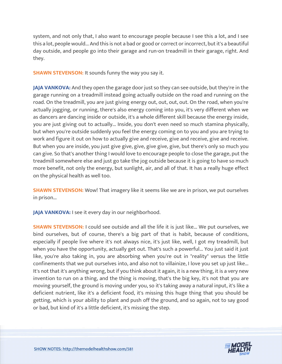system, and not only that, I also want to encourage people because I see this a lot, and I see this a lot, people would... And this is not a bad or good or correct or incorrect, but it's a beautiful day outside, and people go into their garage and run-on treadmill in their garage, right. And they.

**SHAWN STEVENSON:** It sounds funny the way you say it.

**JAJA VANKOVA:** And they open the garage door just so they can see outside, but they're in the garage running on a treadmill instead going actually outside on the road and running on the road. On the treadmill, you are just giving energy out, out, out, out. On the road, when you're actually jogging, or running, there's also energy coming into you, it's very different when we as dancers are dancing inside or outside, it's a whole different skill because the energy inside, you are just giving out to actually... Inside, you don't even need so much stamina physically, but when you're outside suddenly you feel the energy coming on to you and you are trying to work and figure it out on how to actually give and receive, give and receive, give and receive. But when you are inside, you just give give, give, give give, give, but there's only so much you can give. So that's another thing I would love to encourage people to close the garage, put the treadmill somewhere else and just go take the jog outside because it is going to have so much more benefit, not only the energy, but sunlight, air, and all of that. It has a really huge effect on the physical health as well too.

**SHAWN STEVENSON:** Wow! That imagery like it seems like we are in prison, we put ourselves in prison...

JAJA VANKOVA: I see it every day in our neighborhood.

**SHAWN STEVENSON:** I could see outside and all the life it is just like... We put ourselves, we bind ourselves, but of course, there's a big part of that is habit, because of conditions, especially if people live where it's not always nice, it's just like, well, I got my treadmill, but when you have the opportunity, actually get out. That's such a powerful... You just said it just like, you're also taking in, you are absorbing when you're out in "reality" versus the little confinements that we put ourselves into, and also not to villainize, I love you set up just like... It's not that it's anything wrong, but if you think about it again, it is a new thing, it is a very new invention to run on a thing, and the thing is moving, that's the big key, it's not that you are moving yourself, the ground is moving under you, so it's taking away a natural input, it's like a deficient nutrient, like it's a deficient food, it's missing this huge thing that you should be getting, which is your ability to plant and push off the ground, and so again, not to say good or bad, but kind of it's a little deficient, it's missing the step.

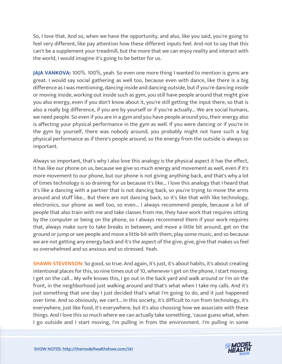So, I love that. And so, when we have the opportunity, and also, like you said, you're going to feel very different, like pay attention how these different inputs feel. And not to say that this can't be a supplement your treadmill, but the more that we can enjoy reality and interact with the world, I would imagine it's going to be better for us.

**JAJA VANKOVA:** 100%. 100%, yeah. So even one more thing I wanted to mention is gyms are great. I would say social gathering as well too, because even with dance, like there is a big difference as I was mentioning, dancing inside and dancing outside, but if you're dancing inside or moving inside, working out inside such as gym, you still have people around that might give you also energy, even if you don't know about it, you're still getting the input there, so that is also a really big difference, if you are by yourself or if you're actually... We are social humans, we need people. So even if you are in a gym and you have people around you, their energy also is affecting your physical performance in the gym as well. If you were dancing or if you're in the gym by yourself, there was nobody around, you probably might not have such a big physical performance as if there's people around, so the energy from the outside is always so important.

Always so important, that's why I also love this analogy is the physical aspect it has the effect, it has like our phone on us, because we give so much energy and movement as well, even if it's more movement to our phone, but our phone is not giving anything back, and that's why a lot of times technology is so draining for us because it's like... I love this analogy that I heard that it's like a dancing with a partner that is not dancing back, so you're trying to move the arms around and stuff like... But there are not dancing back, so it's like that with like technology, electronics, our phone as well too, so even... I always recommend people, because a lot of people that also train with me and take classes from me, they have work that requires sitting by the computer or being on the phone, so I always recommend them if your work requires that, always make sure to take breaks in between, and move a little bit around, get on the ground or jump or see people and move a little bit with them, play some music, and so because we are not getting any energy back and it's the aspect of the give, give, give that makes us feel so overwhelmed and so anxious and so stressed. Yeah.

**SHAWN STEVENSON:** So good, so true. And again, it's just, it's about habits, it's about creating intentional places for this, so nine times out of 10, whenever I get on the phone, I start moving. I get on the call... My wife knows this, I go out in the back yard and walk around or I'm on the front, in the neighborhood just walking around and that's what when I take my calls. And it's just something that one day I just decided that's what I'm going to do, and it just happened over time. And so obviously, we can't... In this society, it's difficult to run from technology, it's everywhere, just like food, it's everywhere, but it's also choosing how we associate with these things. And I love this so much where we can actually take something, 'cause guess what, when [I go outside and I start moving, I](https://themodelhealthshow.com/jaja-vankova/)'[m pulling in from the environment. I](https://themodelhealthshow.com/jaja-vankova/)'[m pulling in some](https://themodelhealthshow.com/jaja-vankova/)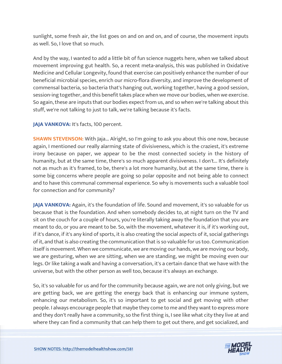sunlight, some fresh air, the list goes on and on and on, and of course, the movement inputs as well. So, I love that so much.

And by the way, I wanted to add a little bit of fun science nuggets here, when we talked about movement improving gut health. So, a recent meta-analysis, this was published in Oxidative Medicine and Cellular Longevity, found that exercise can positively enhance the number of our beneficial microbial species, enrich our micro-flora diversity, and improve the development of commensal bacteria, so bacteria that's hanging out, working together, having a good session, session-ing together, and this benefit takes place when we move our bodies, when we exercise. So again, these are inputs that our bodies expect from us, and so when we're talking about this stuff, we're not talking to just to talk, we're talking because it's facts.

JAJA VANKOVA: It's facts, 100 percent.

**SHAWN STEVENSON:** With Jaja... Alright, so I'm going to ask you about this one now, because again, I mentioned our really alarming state of divisiveness, which is the craziest, it's extreme irony because on paper, we appear to be the most connected society in the history of humanity, but at the same time, there's so much apparent divisiveness. I don't... It's definitely not as much as it's framed, to be, there's a lot more humanity, but at the same time, there is some big concerns where people are going so polar opposite and not being able to connect and to have this communal commensal experience. So why is movements such a valuable tool for connection and for community?

**JAJA VANKOVA:** Again, it's the foundation of life. Sound and movement, it's so valuable for us because that is the foundation. And when somebody decides to, at night turn on the TV and sit on the couch for a couple of hours, you're literally taking away the foundation that you are meant to do, or you are meant to be. So, with the movement, whatever it is, if it's working out, if it's dance, if it's any kind of sports, it is also creating the social aspects of it, social gatherings of it, and that is also creating the communication that is so valuable for us too. Communication itself is movement. When we communicate, we are moving our hands, we are moving our body, we are gesturing, when we are sitting, when we are standing, we might be moving even our legs. Or like taking a walk and having a conversation, it's a certain dance that we have with the universe, but with the other person as well too, because it's always an exchange.

So, it's so valuable for us and for the community because again, we are not only giving, but we are getting back, we are getting the energy back that is enhancing our immune system, enhancing our metabolism. So, it's so important to get social and get moving with other people. I always encourage people that maybe they come to me and they want to express more and they don't really have a community, so the first thing is, I see like what city they live at and [where they can find a community that can help them to get out there, and get socialized, and](https://themodelhealthshow.com/jaja-vankova/)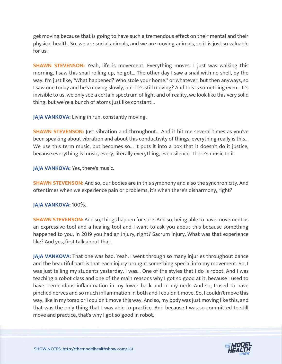get moving because that is going to have such a tremendous effect on their mental and their physical health. So, we are social animals, and we are moving animals, so it is just so valuable for us.

**SHAWN STEVENSON:** Yeah, life is movement. Everything moves. I just was walking this morning, I saw this snail rolling up, he got... The other day I saw a snail with no shell, by the way. I'm just like, "What happened? Who stole your home." or whatever, but then anyways, so I saw one today and he's moving slowly, but he's still moving? And this is something even... It's invisible to us, we only see a certain spectrum of light and of reality, we look like this very solid thing, but we're a bunch of atoms just like constant...

**JAJA VANKOVA:** Living in run, constantly moving.

**SHAWN STEVENSON:** Just vibration and throughout... And it hit me several times as you've been speaking about vibration and about this conductivity of things, everything really is this... We use this term music, but becomes so... It puts it into a box that it doesn't do it justice, because everything is music, every, literally everything, even silence. There's music to it.

JAJA VANKOVA: Yes, there's music.

**SHAWN STEVENSON:** And so, our bodies are in this symphony and also the synchronicity. And oftentimes when we experience pain or problems, it's when there's disharmony, right?

**JAJA VANKOVA:** 100%.

**SHAWN STEVENSON:** And so, things happen for sure. And so, being able to have movement as an expressive tool and a healing tool and I want to ask you about this because something happened to you, in 2019 you had an injury, right? Sacrum injury. What was that experience like? And yes, first talk about that.

**JAJA VANKOVA:** That one was bad. Yeah. I went through so many injuries throughout dance and the beautiful part is that each injury brought something special into my movement. So, I was just telling my students yesterday. I was... One of the styles that I do is robot. And I was teaching a robot class and one of the main reasons why I got so good at it, because I used to have tremendous inflammation in my lower back and in my neck. And so, I used to have pinched nerves and so much inflammation in both and I couldn't move. So, I couldn't move this way, like in my torso or I couldn't move this way. And so, my body was just moving like this, and that was the only thing that I was able to practice. And because I was so committed to still move and practice, that's why I got so good in robot.

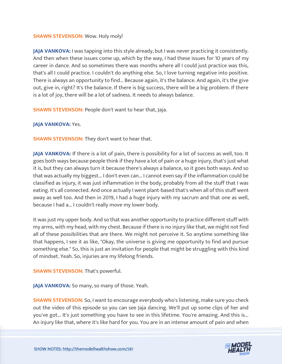#### **SHAWN STEVENSON: Wow. Holy moly!**

**JAJA VANKOVA:** I was tapping into this style already, but I was never practicing it consistently. And then when these issues come up, which by the way, I had these issues for 10 years of my career in dance. And so sometimes there was months where all I could just practice was this, that's all I could practice. I couldn't do anything else. So, I love turning negative into positive. There is always an opportunity to find... Because again, it's the balance. And again, it's the give out, give in, right? It's the balance. If there is big success, there will be a big problem. If there is a lot of joy, there will be a lot of sadness. It needs to always balance.

**SHAWN STEVENSON: People don't want to hear that, Jaja.** 

#### **JAJA VANKOVA: Yes.**

**SHAWN STEVENSON:** They don't want to hear that.

**JAJA VANKOVA:** If there is a lot of pain, there is possibility for a lot of success as well, too. It goes both ways because people think if they have a lot of pain or a huge injury, that's just what it is, but they can always turn it because there's always a balance, so it goes both ways. And so that was actually my biggest... I don't even can... I cannot even say if the inflammation could be classified as injury, it was just inflammation in the body, probably from all the stuff that I was eating. It's all connected. And once actually I went plant-based that's when all of this stuff went away as well too. And then in 2019, I had a huge injury with my sacrum and that one as well, because I had a... I couldn't really move my lower body.

It was just my upper body. And so that was another opportunity to practice different stuff with my arms, with my head, with my chest. Because if there is no injury like that, we might not find all of these possibilities that are there. We might not perceive it. So anytime something like that happens, I see it as like, "Okay, the universe is giving me opportunity to find and pursue something else." So, this is just an invitation for people that might be struggling with this kind of mindset. Yeah. So, injuries are my lifelong friends.

**SHAWN STEVENSON: That's powerful.** 

**JAJA VANKOVA:** So many, so many of those. Yeah.

**SHAWN STEVENSON:** So, I want to encourage everybody who's listening, make sure you check out the video of this episode so you can see Jaja dancing. We'll put up some clips of her and you've got... It's just something you have to see in this lifetime. You're amazing. And this is... [An injury like that, where it](https://themodelhealthshow.com/jaja-vankova/)'[s like hard for you. You are in an intense amount of pain and when](https://themodelhealthshow.com/jaja-vankova/)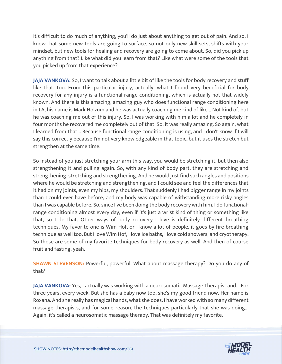it's difficult to do much of anything, you'll do just about anything to get out of pain. And so, I know that some new tools are going to surface, so not only new skill sets, shifts with your mindset, but new tools for healing and recovery are going to come about. So, did you pick up anything from that? Like what did you learn from that? Like what were some of the tools that you picked up from that experience?

**JAJA VANKOVA:** So, I want to talk about a little bit of like the tools for body recovery and stuff like that, too. From this particular injury, actually, what I found very beneficial for body recovery for any injury is a functional range conditioning, which is actually not that widely known. And there is this amazing, amazing guy who does functional range conditioning here in LA, his name is Mark Holzum and he was actually coaching me kind of like... Not kind of, but he was coaching me out of this injury. So, I was working with him a lot and he completely in four months he recovered me completely out of that. So, it was really amazing. So again, what I learned from that... Because functional range conditioning is using, and I don't know if I will say this correctly because I'm not very knowledgeable in that topic, but it uses the stretch but strengthen at the same time.

So instead of you just stretching your arm this way, you would be stretching it, but then also strengthening it and pulling again. So, with any kind of body part, they are stretching and strengthening, stretching and strengthening. And he would just find such angles and positions where he would be stretching and strengthening, and I could see and feel the differences that it had on my joints, even my hips, my shoulders. That suddenly I had bigger range in my joints than I could ever have before, and my body was capable of withstanding more risky angles than I was capable before. So, since I've been doing the body recovery with him, I do functionalrange conditioning almost every day, even if it's just a wrist kind of thing or something like that, so I do that. Other ways of body recovery I love is definitely different breathing techniques. My favorite one is Wim Hof, or I know a lot of people, it goes by fire breathing technique as well too. But I love Wim Hof, I love ice baths, I love cold showers, and cryotherapy. So those are some of my favorite techniques for body recovery as well. And then of course fruit and fasting, yeah.

**SHAWN STEVENSON:** Powerful, powerful. What about massage therapy? Do you do any of that?

**JAJA VANKOVA:** Yes, I actually was working with a neurosomatic Massage Therapist and... For three years, every week. But she has a baby now too, she's my good friend now. Her name is Roxana. And she really has magical hands, what she does. I have worked with so many different massage therapists, and for some reason, the techniques particularly that she was doing... Again, it's called a neurosomatic massage therapy. That was definitely my favorite.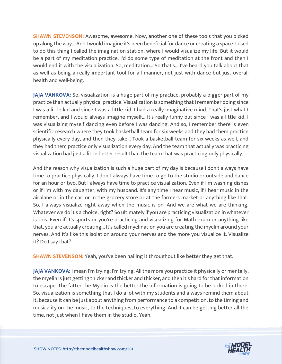**SHAWN STEVENSON:** Awesome, awesome. Now, another one of these tools that you picked up along the way... And I would imagine it's been beneficial for dance or creating a space. I used to do this thing I called the imagination station, where I would visualize my life. But it would be a part of my meditation practice, I'd do some type of meditation at the front and then I would end it with the visualization. So, meditation... So that's... I've heard you talk about that as well as being a really important tool for all manner, not just with dance but just overall health and well-being.

**JAJA VANKOVA:** So, visualization is a huge part of my practice, probably a bigger part of my practice than actually physical practice. Visualization is something that I remember doing since I was a little kid and since I was a little kid, I had a really imaginative mind. That's just what I remember, and I would always imagine myself... It's really funny but since I was a little kid, I was visualizing myself dancing even before I was dancing. And so, I remember there is even scientific research where they took basketball team for six weeks and they had them practice physically every day, and then they take... Took a basketball team for six weeks as well, and they had them practice only visualization every day. And the team that actually was practicing visualization had just a little better result than the team that was practicing only physically.

And the reason why visualization is such a huge part of my day is because I don't always have time to practice physically, I don't always have time to go to the studio or outside and dance for an hour or two. But I always have time to practice visualization. Even if I'm washing dishes or if I'm with my daughter, with my husband. It's any time I hear music, if I hear music in the airplane or in the car, or in the grocery store or at the farmers market or anything like that. So, I always visualize right away when the music is on. And we are what we are thinking. Whatever we do it's a choice, right? So ultimately if you are practicing visualization in whatever is this. Even if it's sports or you're practicing and visualizing for Math exam or anything like that, you are actually creating... It's called myelination you are creating the myelin around your nerves. And it's like this isolation around your nerves and the more you visualize it. Visualize it? Do I say that?

**SHAWN STEVENSON:** Yeah, you've been nailing it throughout like better they get that.

**JAJA VANKOVA:** I mean I'm trying; I'm trying. All the more you practice it physically or mentally, the myelin is just getting thicker and thicker and thicker, and then it's hard for that information to escape. The fatter the Myelin is the better the information is going to be locked in there. So, visualization is something that I do a lot with my students and always remind them about it, because it can be just about anything from performance to a competition, to the timing and musicality on the music, to the techniques, to everything. And it can be getting better all the time, not just when I have them in the studio. Yeah.

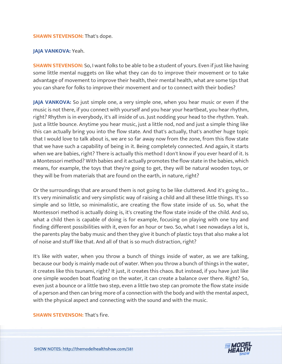#### **SHAWN STEVENSON: That's dope.**

#### **JAJA VANKOVA:** Yeah.

**SHAWN STEVENSON:** So, I want folks to be able to be a student of yours. Even if just like having some little mental nuggets on like what they can do to improve their movement or to take advantage of movement to improve their health, their mental health, what are some tips that you can share for folks to improve their movement and or to connect with their bodies?

**JAJA VANKOVA:** So just simple one, a very simple one, when you hear music or even if the music is not there, if you connect with yourself and you hear your heartbeat, you hear rhythm, right? Rhythm is in everybody, it's all inside of us. Just nodding your head to the rhythm. Yeah. Just a little bounce. Anytime you hear music, just a little nod, nod and just a simple thing like this can actually bring you into the flow state. And that's actually, that's another huge topic that I would love to talk about is, we are so far away now from the zone, from this flow state that we have such a capability of being in it. Being completely connected. And again, it starts when we are babies, right? There is actually this method I don't know if you ever heard of it. Is a Montessori method? With babies and it actually promotes the flow state in the babies, which means, for example, the toys that they're going to get, they will be natural wooden toys, or they will be from materials that are found on the earth, in nature, right?

Or the surroundings that are around them is not going to be like cluttered. And it's going to... It's very minimalistic and very simplistic way of raising a child and all these little things. It's so simple and so little, so minimalistic, are creating the flow state inside of us. So, what the Montessori method is actually doing is, it's creating the flow state inside of the child. And so, what a child then is capable of doing is for example, focusing on playing with one toy and finding different possibilities with it, even for an hour or two. So, what I see nowadays a lot is, the parents play the baby music and then they give it bunch of plastic toys that also make a lot of noise and stuff like that. And all of that is so much distraction, right?

It's like with water, when you throw a bunch of things inside of water, as we are talking, because our body is mainly made out of water. When you throw a bunch of things in the water, it creates like this tsunami, right? It just, it creates this chaos. But instead, if you have just like one simple wooden boat floating on the water, it can create a balance over there. Right? So, even just a bounce or a little two step, even a little two step can promote the flow state inside of a person and then can bring more of a connection with the body and with the mental aspect, with the physical aspect and connecting with the sound and with the music.

#### **SHAWN STEVENSON: That's fire.**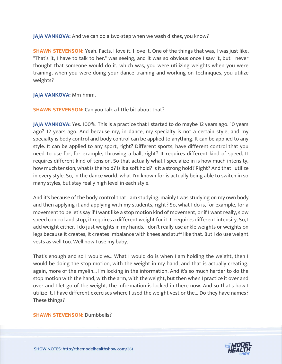**JAJA VANKOVA:** And we can do a two-step when we wash dishes, you know?

**SHAWN STEVENSON:** Yeah. Facts. I love it. I love it. One of the things that was, I was just like, "That's it, I have to talk to her." was seeing, and it was so obvious once I saw it, but I never thought that someone would do it, which was, you were utilizing weights when you were training, when you were doing your dance training and working on techniques, you utilize weights?

**JAJA VANKOVA:** Mm-hmm.

**SHAWN STEVENSON:** Can you talk a little bit about that?

**JAJA VANKOVA:** Yes. 100%. This is a practice that I started to do maybe 12 years ago. 10 years ago? 12 years ago. And because my, in dance, my specialty is not a certain style, and my specialty is body control and body control can be applied to anything. It can be applied to any style. It can be applied to any sport, right? Different sports, have different control that you need to use for, for example, throwing a ball, right? It requires different kind of speed. It requires different kind of tension. So that actually what I specialize in is how much intensity, how much tension, what is the hold? Is it a soft hold? Is it a strong hold? Right? And that I utilize in every style. So, in the dance world, what I'm known for is actually being able to switch in so many styles, but stay really high level in each style.

And it's because of the body control that I am studying, mainly I was studying on my own body and then applying it and applying with my students, right? So, what I do is, for example, for a movement to be let's say if I want like a stop motion kind of movement, or if I want really, slow speed control and stop, it requires a different weight for it. It requires different intensity. So, I add weight either. I do just weights in my hands. I don't really use ankle weights or weights on legs because it creates, it creates imbalance with knees and stuff like that. But I do use weight vests as well too. Well now I use my baby.

That's enough and so I would've... What I would do is when I am holding the weight, then I would be doing the stop motion, with the weight in my hand, and that is actually creating, again, more of the myelin... I'm locking in the information. And it's so much harder to do the stop motion with the hand, with the arm, with the weight, but then when I practice it over and over and I let go of the weight, the information is locked in there now. And so that's how I utilize it. I have different exercises where I used the weight vest or the... Do they have names? These things?

#### **SHAWN STEVENSON: Dumbbells?**

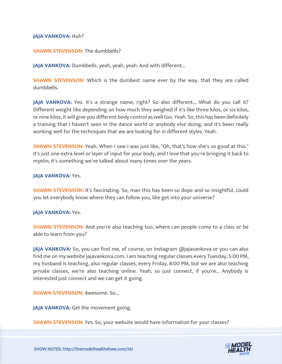#### **JAJA VANKOVA: Huh?**

#### **SHAWN STEVENSON: The dumbbells?**

**JAJA VANKOVA:** Dumbbells, yeah, yeah, yeah. And with different...

**SHAWN STEVENSON:** Which is the dumbest name ever by the way, that they are called dumbbells.

JAJA VANKOVA: Yes. It's a strange name, right? So also different... What do you call it? Different weight like depending on how much they weighed if it's like three kilos, or six kilos, or nine kilos, it will give you different body control as well too. Yeah. So, this has been definitely a training that I haven't seen in the dance world or anybody else doing, and it's been really working well for the techniques that we are looking for in different styles. Yeah.

**SHAWN STEVENSON:** Yeah. When I saw I was just like, "Oh, that's how she's so good at this." It's just one extra level or layer of input for your body, and I love that you're bringing it back to myelin, it's something we've talked about many times over the years.

#### **JAJA VANKOVA:** Yes.

**SHAWN STEVENSON:** It's fascinating. So, man this has been so dope and so insightful, could you let everybody know where they can follow you, like get into your universe?

#### **JAJA VANKOVA:** Yes.

**SHAWN STEVENSON:** And you're also teaching too, where can people come to a class or be able to learn from you?

**JAJA VANKOVA:** So, you can find me, of course, on Instagram @jajavankova or you can also find me on my website jajavankova.com. I am teaching regular classes every Tuesday, 5:00 PM, my husband is teaching, also regular classes, every Friday, 8:00 PM, but we are also teaching private classes, we're also teaching online. Yeah, so just connect, if you're... Anybody is interested just connect and we can get it going.

**SHAWN STEVENSON: Awesome. So...** 

**JAJA VANKOVA:** Get the movement going.

**SHAWN STEVENSON:** Yes. So, your website would have information for your classes?

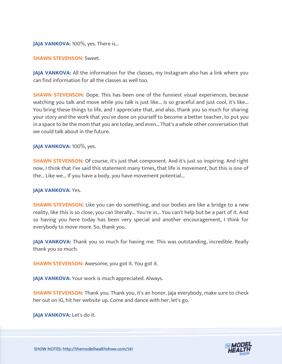#### **JAJA VANKOVA:** 100%, yes. There is...

#### **SHAWN STEVENSON:** Sweet.

**JAJA VANKOVA:** All the information for the classes, my Instagram also has a link where you can find information for all the classes as well too.

**SHAWN STEVENSON:** Dope. This has been one of the funniest visual experiences, because watching you talk and move while you talk is just like... Is so graceful and just cool, it's like... You bring these things to life, and I appreciate that, and also, thank you so much for sharing your story and the work that you've done on yourself to become a better teacher, to put you in a space to be the mom that you are today, and even... That's a whole other conversation that we could talk about in the future.

#### **JAJA VANKOVA:** 100%, yes.

**SHAWN STEVENSON:** Of course, it's just that component. And it's just so inspiring. And right now, I think that I've said this statement many times, that life is movement, but this is one of the... Like we... If you have a body, you have movement potential...

#### **JAJA VANKOVA:** Yes.

**SHAWN STEVENSON:** Like you can do something, and our bodies are like a bridge to a new reality, like this is so close, you can literally... You're in... You can't help but be a part of it. And so having you here today has been very special and another encouragement, I think for everybody to move more. So, thank you.

**JAJA VANKOVA:** Thank you so much for having me. This was outstanding, incredible. Really thank you so much.

**SHAWN STEVENSON:** Awesome, you got it. You got it.

**JAJA VANKOVA:** Your work is much appreciated. Always.

**SHAWN STEVENSON:** Thank you. Thank you, it's an honor. Jaja everybody, make sure to check her out on IG, hit her website up. Come and dance with her, let's go.

**JAJA VANKOVA:** Let's do it.

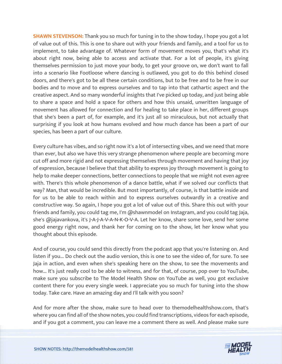**SHAWN STEVENSON:** Thank you so much for tuning in to the show today, I hope you got a lot of value out of this. This is one to share out with your friends and family, and a tool for us to implement, to take advantage of. Whatever form of movement moves you, that's what it's about right now, being able to access and activate that. For a lot of people, it's giving themselves permission to just move your body, to get your groove on, we don't want to fall into a scenario like Footloose where dancing is outlawed, you got to do this behind closed doors, and there's got to be all these certain conditions, but to be free and to be free in our bodies and to move and to express ourselves and to tap into that cathartic aspect and the creative aspect. And so many wonderful insights that I've picked up today, and just being able to share a space and hold a space for others and how this unsaid, unwritten language of movement has allowed for connection and for healing to take place in her, different groups that she's been a part of, for example, and it's just all so miraculous, but not actually that surprising if you look at how humans evolved and how much dance has been a part of our species, has been a part of our culture.

Every culture has vibes, and so right now it's a lot of intersecting vibes, and we need that more than ever, but also we have this very strange phenomenon where people are becoming more cut off and more rigid and not expressing themselves through movement and having that joy of expression, because I believe that that ability to express joy through movement is going to help to make deeper connections, better connections to people that we might not even agree with. There's this whole phenomenon of a dance battle, what if we solved our conflicts that way? Man, that would be incredible. But most importantly, of course, is that battle inside and for us to be able to reach within and to express ourselves outwardly in a creative and constructive way. So again, I hope you got a lot of value out of this. Share this out with your friends and family, you could tag me, I'm @shawnmodel on Instagram, and you could tag Jaja, she's @jajavankova, it's J-A-J-A-V-A-N-K-O-V-A. Let her know, share some love, send her some good energy right now, and thank her for coming on to the show, let her know what you thought about this episode.

And of course, you could send this directly from the podcast app that you're listening on. And listen if you... Do check out the audio version, this is one to see the video of, for sure. To see Jaja in action, and even when she's speaking here on the show, to see the movements and how... It's just really cool to be able to witness, and for that, of course, pop over to YouTube, make sure you subscribe to The Model Health Show on YouTube as well, you got exclusive content there for you every single week. I appreciate you so much for tuning into the show today. Take care. Have an amazing day and I'll talk with you soon?

And for more after the show, make sure to head over to themodelhealthshow.com, that's where you can find all of the show notes, you could find transcriptions, videos for each episode, [and if you got a comment, you can leave me a comment there as well. And please make sure](https://themodelhealthshow.com/jaja-vankova/)